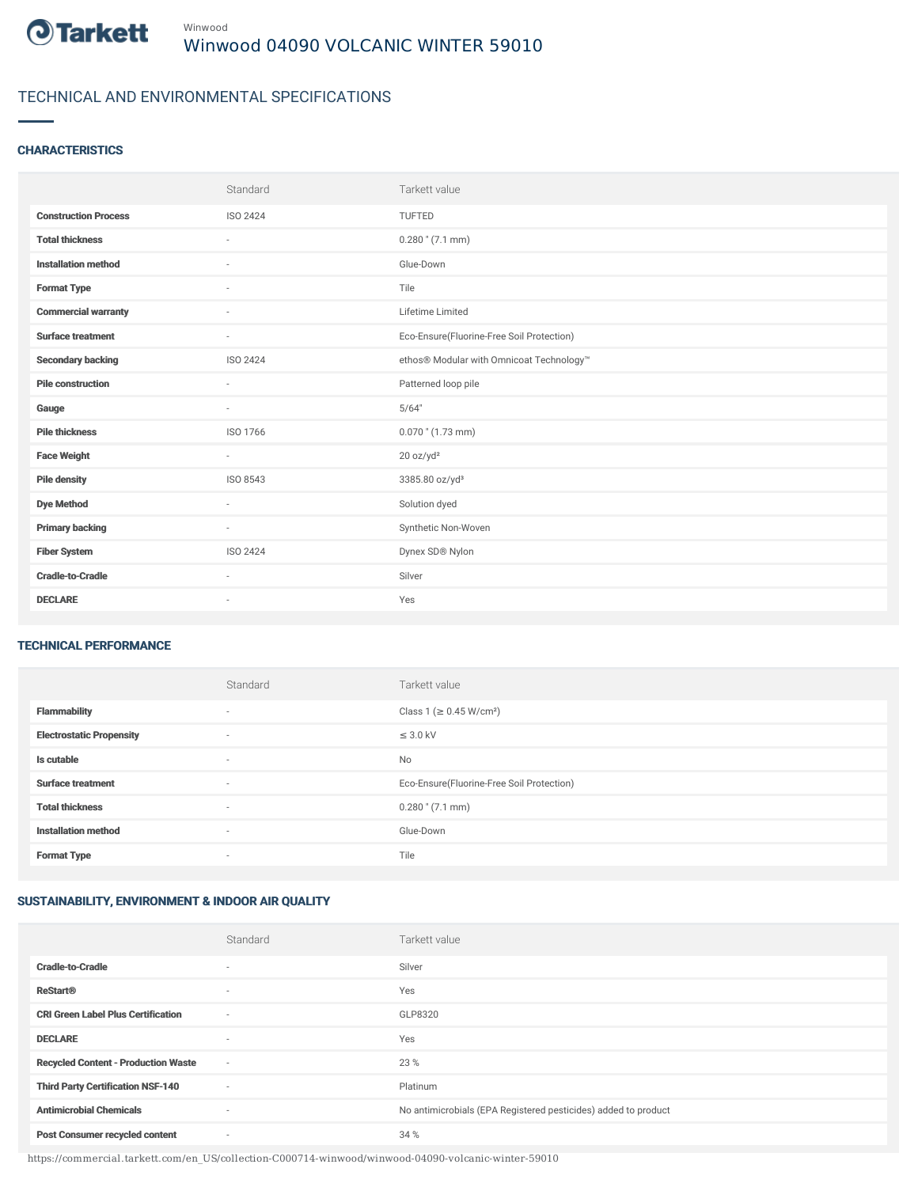

## TECHNICAL AND ENVIRONMENTAL SPECIFICATIONS

### **CHARACTERISTICS**

|                             | Standard                 | Tarkett value                             |
|-----------------------------|--------------------------|-------------------------------------------|
| <b>Construction Process</b> | <b>ISO 2424</b>          | <b>TUFTED</b>                             |
| <b>Total thickness</b>      | ×                        | $0.280$ " (7.1 mm)                        |
| <b>Installation method</b>  | $\sim$                   | Glue-Down                                 |
| <b>Format Type</b>          | ٠                        | Tile                                      |
| <b>Commercial warranty</b>  | ×                        | Lifetime Limited                          |
| <b>Surface treatment</b>    | $\sim$                   | Eco-Ensure(Fluorine-Free Soil Protection) |
| <b>Secondary backing</b>    | <b>ISO 2424</b>          | ethos® Modular with Omnicoat Technology™  |
| <b>Pile construction</b>    |                          | Patterned loop pile                       |
| Gauge                       | $\sim$                   | 5/64"                                     |
| <b>Pile thickness</b>       | ISO 1766                 | $0.070$ " (1.73 mm)                       |
| <b>Face Weight</b>          | $\sim$                   | 20 oz/yd <sup>2</sup>                     |
| <b>Pile density</b>         | ISO 8543                 | 3385.80 oz/yd <sup>3</sup>                |
| <b>Dye Method</b>           | $\sim$                   | Solution dyed                             |
| <b>Primary backing</b>      | $\sim$                   | Synthetic Non-Woven                       |
| <b>Fiber System</b>         | <b>ISO 2424</b>          | Dynex SD® Nylon                           |
| <b>Cradle-to-Cradle</b>     | $\sim$                   | Silver                                    |
| <b>DECLARE</b>              | $\overline{\phantom{a}}$ | Yes                                       |

#### TECHNICAL PERFORMANCE

|                                 | Standard                 | Tarkett value                             |
|---------------------------------|--------------------------|-------------------------------------------|
| <b>Flammability</b>             | $\overline{\phantom{a}}$ | Class 1 (≥ 0.45 W/cm <sup>2</sup> )       |
| <b>Electrostatic Propensity</b> | $\sim$                   | $\leq$ 3.0 kV                             |
| Is cutable                      | $\sim$                   | No                                        |
| <b>Surface treatment</b>        | $\sim$                   | Eco-Ensure(Fluorine-Free Soil Protection) |
| <b>Total thickness</b>          | $\sim$                   | $0.280$ " $(7.1$ mm)                      |
| <b>Installation method</b>      | $\sim$                   | Glue-Down                                 |
| <b>Format Type</b>              | $\overline{\phantom{a}}$ | Tile                                      |

# SUSTAINABILITY, ENVIRONMENT & INDOOR AIR QUALITY

|                                            | Standard | Tarkett value                                                  |
|--------------------------------------------|----------|----------------------------------------------------------------|
| <b>Cradle-to-Cradle</b>                    | $\sim$   | Silver                                                         |
| <b>ReStart<sup>®</sup></b>                 | $\sim$   | Yes                                                            |
| <b>CRI Green Label Plus Certification</b>  | $\sim$   | GLP8320                                                        |
| <b>DECLARE</b>                             | $\sim$   | Yes                                                            |
| <b>Recycled Content - Production Waste</b> | $\sim$   | 23 %                                                           |
| <b>Third Party Certification NSF-140</b>   | $\sim$   | Platinum                                                       |
| <b>Antimicrobial Chemicals</b>             | $\sim$   | No antimicrobials (EPA Registered pesticides) added to product |
| <b>Post Consumer recycled content</b>      | $\sim$   | 34 %                                                           |

https://commercial.tarkett.com/en\_US/collection-C000714-winwood/winwood-04090-volcanic-winter-59010